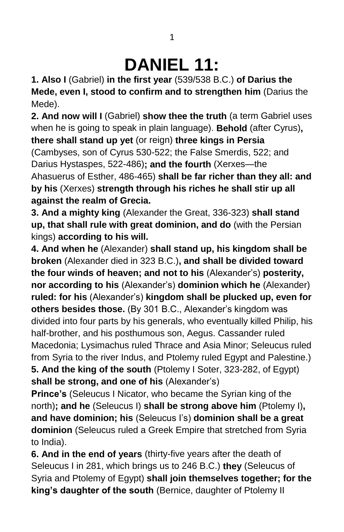## **DANIEL 11:**

**1. Also I** (Gabriel) **in the first year** (539/538 B.C.) **of Darius the Mede, even I, stood to confirm and to strengthen him** (Darius the Mede).

**2. And now will I** (Gabriel) **show thee the truth** (a term Gabriel uses when he is going to speak in plain language). **Behold** (after Cyrus)**,**

**there shall stand up yet** (or reign) **three kings in Persia**  (Cambyses, son of Cyrus 530-522; the False Smerdis, 522; and Darius Hystaspes, 522-486)**; and the fourth** (Xerxes—the Ahasuerus of Esther, 486-465) **shall be far richer than they all: and by his** (Xerxes) **strength through his riches he shall stir up all against the realm of Grecia.**

**3. And a mighty king** (Alexander the Great, 336-323) **shall stand up, that shall rule with great dominion, and do** (with the Persian kings) **according to his will.**

**4. And when he** (Alexander) **shall stand up, his kingdom shall be broken** (Alexander died in 323 B.C.)**, and shall be divided toward the four winds of heaven; and not to his** (Alexander's) **posterity, nor according to his** (Alexander's) **dominion which he** (Alexander) **ruled: for his** (Alexander's) **kingdom shall be plucked up, even for others besides those.** (By 301 B.C., Alexander's kingdom was divided into four parts by his generals, who eventually killed Philip, his half-brother, and his posthumous son, Aegus. Cassander ruled Macedonia; Lysimachus ruled Thrace and Asia Minor; Seleucus ruled from Syria to the river Indus, and Ptolemy ruled Egypt and Palestine.) **5. And the king of the south** (Ptolemy I Soter, 323-282, of Egypt)

**shall be strong, and one of his** (Alexander's)

**Prince's** (Seleucus I Nicator, who became the Syrian king of the north)**; and he** (Seleucus I) **shall be strong above him** (Ptolemy I)**, and have dominion; his** (Seleucus I's) **dominion shall be a great dominion** (Seleucus ruled a Greek Empire that stretched from Syria to India).

**6. And in the end of years** (thirty-five years after the death of Seleucus I in 281, which brings us to 246 B.C.) **they** (Seleucus of Syria and Ptolemy of Egypt) **shall join themselves together; for the king's daughter of the south** (Bernice, daughter of Ptolemy II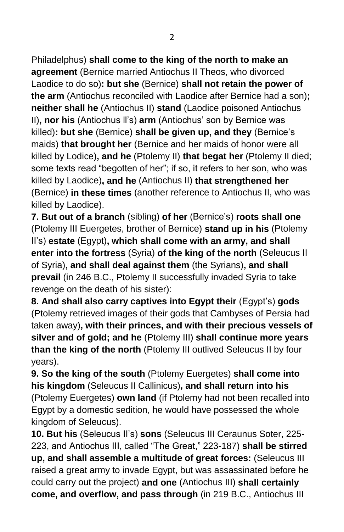Philadelphus) **shall come to the king of the north to make an agreement** (Bernice married Antiochus II Theos, who divorced Laodice to do so)**: but she** (Bernice) **shall not retain the power of the arm** (Antiochus reconciled with Laodice after Bernice had a son)**; neither shall he** (Antiochus II) **stand** (Laodice poisoned Antiochus II)**, nor his** (Antiochus ll's) **arm** (Antiochus' son by Bernice was killed)**: but she** (Bernice) **shall be given up, and they** (Bernice's maids) **that brought her** (Bernice and her maids of honor were all killed by Lodice)**, and he** (Ptolemy II) **that begat her** (Ptolemy II died; some texts read "begotten of her"; if so, it refers to her son, who was killed by Laodice)**, and he** (Antiochus II) **that strengthened her** (Bernice) **in these times** (another reference to Antiochus II, who was killed by Laodice).

**7. But out of a branch** (sibling) **of her** (Bernice's) **roots shall one**  (Ptolemy III Euergetes, brother of Bernice) **stand up in his** (Ptolemy II's) **estate** (Egypt)**, which shall come with an army, and shall enter into the fortress** (Syria) **of the king of the north** (Seleucus II of Syria)**, and shall deal against them** (the Syrians)**, and shall prevail** (in 246 B.C., Ptolemy II successfully invaded Syria to take revenge on the death of his sister):

**8. And shall also carry captives into Egypt their** (Egypt's) **gods** (Ptolemy retrieved images of their gods that Cambyses of Persia had taken away)**, with their princes, and with their precious vessels of silver and of gold; and he** (Ptolemy III) **shall continue more years than the king of the north** (Ptolemy III outlived Seleucus II by four years).

**9. So the king of the south** (Ptolemy Euergetes) **shall come into his kingdom** (Seleucus II Callinicus)**, and shall return into his**  (Ptolemy Euergetes) **own land** (if Ptolemy had not been recalled into Egypt by a domestic sedition, he would have possessed the whole kingdom of Seleucus).

**10. But his** (Seleucus II's) **sons** (Seleucus III Ceraunus Soter, 225- 223, and Antiochus III, called "The Great," 223-187) **shall be stirred up, and shall assemble a multitude of great forces:** (Seleucus III raised a great army to invade Egypt, but was assassinated before he could carry out the project) **and one** (Antiochus III) **shall certainly come, and overflow, and pass through** (in 219 B.C., Antiochus III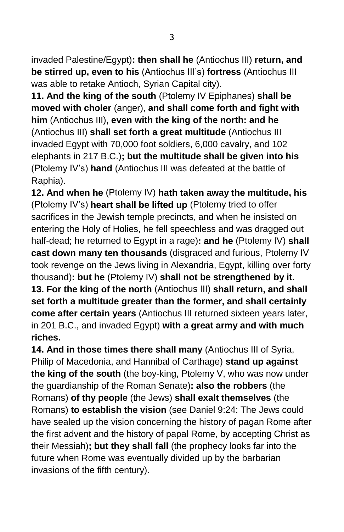invaded Palestine/Egypt)**: then shall he** (Antiochus III) **return, and be stirred up, even to his** (Antiochus III's) **fortress** (Antiochus III was able to retake Antioch, Syrian Capital city).

**11. And the king of the south** (Ptolemy IV Epiphanes) **shall be moved with choler** (anger), **and shall come forth and fight with him** (Antiochus III)**, even with the king of the north: and he**  (Antiochus III) **shall set forth a great multitude** (Antiochus III invaded Egypt with 70,000 foot soldiers, 6,000 cavalry, and 102 elephants in 217 B.C.)**; but the multitude shall be given into his**  (Ptolemy IV's) **hand** (Antiochus III was defeated at the battle of Raphia).

**12. And when he** (Ptolemy IV) **hath taken away the multitude, his** (Ptolemy IV's) **heart shall be lifted up** (Ptolemy tried to offer sacrifices in the Jewish temple precincts, and when he insisted on entering the Holy of Holies, he fell speechless and was dragged out half-dead; he returned to Egypt in a rage)**: and he** (Ptolemy IV) **shall cast down many ten thousands** (disgraced and furious, Ptolemy IV took revenge on the Jews living in Alexandria, Egypt, killing over forty thousand)**: but he** (Ptolemy IV) **shall not be strengthened by it. 13. For the king of the north** (Antiochus III) **shall return, and shall set forth a multitude greater than the former, and shall certainly come after certain years** (Antiochus III returned sixteen years later, in 201 B.C., and invaded Egypt) **with a great army and with much riches.**

**14. And in those times there shall many** (Antiochus III of Syria, Philip of Macedonia, and Hannibal of Carthage) **stand up against the king of the south** (the boy-king, Ptolemy V, who was now under the guardianship of the Roman Senate)**: also the robbers** (the Romans) **of thy people** (the Jews) **shall exalt themselves** (the Romans) **to establish the vision** (see Daniel 9:24: The Jews could have sealed up the vision concerning the history of pagan Rome after the first advent and the history of papal Rome, by accepting Christ as their Messiah)**; but they shall fall** (the prophecy looks far into the future when Rome was eventually divided up by the barbarian invasions of the fifth century).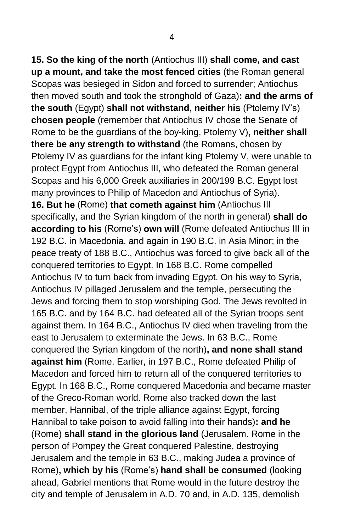**15. So the king of the north** (Antiochus III) **shall come, and cast up a mount, and take the most fenced cities** (the Roman general Scopas was besieged in Sidon and forced to surrender; Antiochus then moved south and took the stronghold of Gaza)**: and the arms of the south** (Egypt) **shall not withstand, neither his** (Ptolemy IV's) **chosen people** (remember that Antiochus IV chose the Senate of Rome to be the guardians of the boy-king, Ptolemy V)**, neither shall there be any strength to withstand** (the Romans, chosen by Ptolemy IV as guardians for the infant king Ptolemy V, were unable to protect Egypt from Antiochus III, who defeated the Roman general Scopas and his 6,000 Greek auxiliaries in 200/199 B.C. Egypt lost many provinces to Philip of Macedon and Antiochus of Syria). **16. But he** (Rome) **that cometh against him** (Antiochus III specifically, and the Syrian kingdom of the north in general) **shall do according to his** (Rome's) **own will** (Rome defeated Antiochus III in 192 B.C. in Macedonia, and again in 190 B.C. in Asia Minor; in the peace treaty of 188 B.C., Antiochus was forced to give back all of the conquered territories to Egypt. In 168 B.C. Rome compelled Antiochus IV to turn back from invading Egypt. On his way to Syria, Antiochus IV pillaged Jerusalem and the temple, persecuting the Jews and forcing them to stop worshiping God. The Jews revolted in 165 B.C. and by 164 B.C. had defeated all of the Syrian troops sent against them. In 164 B.C., Antiochus IV died when traveling from the east to Jerusalem to exterminate the Jews. In 63 B.C., Rome conquered the Syrian kingdom of the north)**, and none shall stand against him** (Rome. Earlier, in 197 B.C., Rome defeated Philip of Macedon and forced him to return all of the conquered territories to Egypt. In 168 B.C., Rome conquered Macedonia and became master of the Greco-Roman world. Rome also tracked down the last member, Hannibal, of the triple alliance against Egypt, forcing Hannibal to take poison to avoid falling into their hands)**: and he** (Rome) **shall stand in the glorious land** (Jerusalem. Rome in the person of Pompey the Great conquered Palestine, destroying Jerusalem and the temple in 63 B.C., making Judea a province of Rome)**, which by his** (Rome's) **hand shall be consumed** (looking ahead, Gabriel mentions that Rome would in the future destroy the city and temple of Jerusalem in A.D. 70 and, in A.D. 135, demolish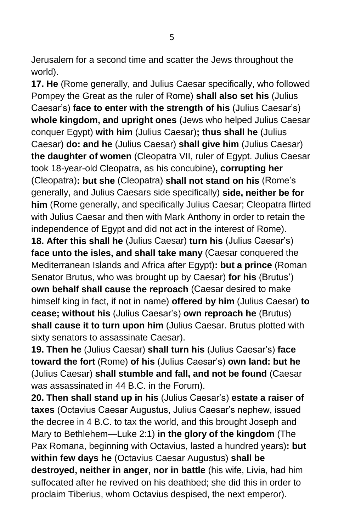Jerusalem for a second time and scatter the Jews throughout the world).

**17. He** (Rome generally, and Julius Caesar specifically, who followed Pompey the Great as the ruler of Rome) **shall also set his** (Julius Caesar's) **face to enter with the strength of his** (Julius Caesar's) **whole kingdom, and upright ones** (Jews who helped Julius Caesar conquer Egypt) **with him** (Julius Caesar)**; thus shall he** (Julius Caesar) **do: and he** (Julius Caesar) **shall give him** (Julius Caesar) **the daughter of women** (Cleopatra VII, ruler of Egypt. Julius Caesar took 18-year-old Cleopatra, as his concubine)**, corrupting her** (Cleopatra)**: but she** (Cleopatra) **shall not stand on his** (Rome's generally, and Julius Caesars side specifically) **side, neither be for him** (Rome generally, and specifically Julius Caesar; Cleopatra flirted with Julius Caesar and then with Mark Anthony in order to retain the independence of Egypt and did not act in the interest of Rome). **18. After this shall he** (Julius Caesar) **turn his** (Julius Caesar's)

**face unto the isles, and shall take many** (Caesar conquered the Mediterranean Islands and Africa after Egypt)**: but a prince** (Roman Senator Brutus, who was brought up by Caesar) **for his** (Brutus') **own behalf shall cause the reproach** (Caesar desired to make himself king in fact, if not in name) **offered by him** (Julius Caesar) **to cease; without his** (Julius Caesar's) **own reproach he** (Brutus) **shall cause it to turn upon him** (Julius Caesar. Brutus plotted with sixty senators to assassinate Caesar).

**19. Then he** (Julius Caesar) **shall turn his** (Julius Caesar's) **face toward the fort** (Rome) **of his** (Julius Caesar's) **own land: but he** (Julius Caesar) **shall stumble and fall, and not be found** (Caesar was assassinated in 44 B.C. in the Forum).

**20. Then shall stand up in his** (Julius Caesar's) **estate a raiser of taxes** (Octavius Caesar Augustus, Julius Caesar's nephew, issued the decree in 4 B.C. to tax the world, and this brought Joseph and Mary to Bethlehem—Luke 2:1) **in the glory of the kingdom** (The Pax Romana, beginning with Octavius, lasted a hundred years)**: but within few days he** (Octavius Caesar Augustus) **shall be destroyed, neither in anger, nor in battle** (his wife, Livia, had him suffocated after he revived on his deathbed; she did this in order to proclaim Tiberius, whom Octavius despised, the next emperor).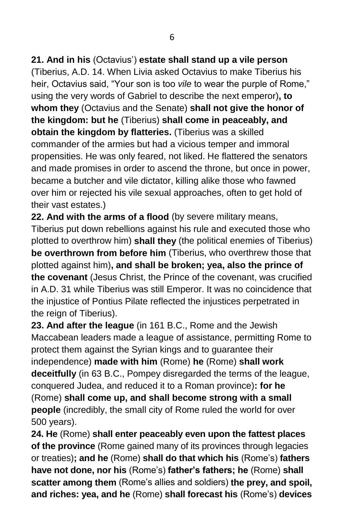**21. And in his** (Octavius') **estate shall stand up a vile person**

(Tiberius, A.D. 14. When Livia asked Octavius to make Tiberius his heir, Octavius said, "Your son is too *vile* to wear the purple of Rome," using the very words of Gabriel to describe the next emperor)**, to whom they** (Octavius and the Senate) **shall not give the honor of the kingdom: but he** (Tiberius) **shall come in peaceably, and obtain the kingdom by flatteries.** (Tiberius was a skilled commander of the armies but had a vicious temper and immoral propensities. He was only feared, not liked. He flattered the senators and made promises in order to ascend the throne, but once in power, became a butcher and vile dictator, killing alike those who fawned over him or rejected his vile sexual approaches, often to get hold of their vast estates.)

**22. And with the arms of a flood** (by severe military means, Tiberius put down rebellions against his rule and executed those who plotted to overthrow him) **shall they** (the political enemies of Tiberius) **be overthrown from before him** (Tiberius, who overthrew those that plotted against him)**, and shall be broken; yea, also the prince of the covenant** (Jesus Christ, the Prince of the covenant, was crucified in A.D. 31 while Tiberius was still Emperor. It was no coincidence that the injustice of Pontius Pilate reflected the injustices perpetrated in the reign of Tiberius).

**23. And after the league** (in 161 B.C., Rome and the Jewish Maccabean leaders made a league of assistance, permitting Rome to protect them against the Syrian kings and to guarantee their independence) **made with him** (Rome) **he** (Rome) **shall work deceitfully** (in 63 B.C., Pompey disregarded the terms of the league, conquered Judea, and reduced it to a Roman province)**: for he**  (Rome) **shall come up, and shall become strong with a small people** (incredibly, the small city of Rome ruled the world for over 500 years).

**24. He** (Rome) **shall enter peaceably even upon the fattest places of the province** (Rome gained many of its provinces through legacies or treaties)**; and he** (Rome) **shall do that which his** (Rome's) **fathers have not done, nor his** (Rome's) **father's fathers; he** (Rome) **shall scatter among them** (Rome's allies and soldiers) **the prey, and spoil, and riches: yea, and he** (Rome) **shall forecast his** (Rome's) **devices**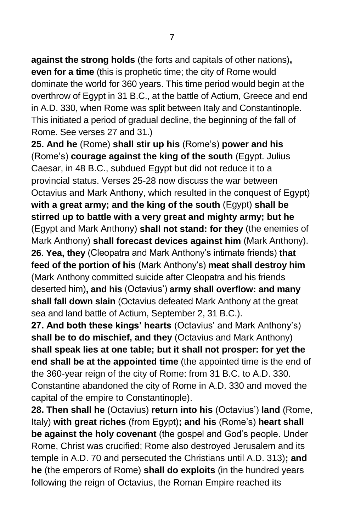**against the strong holds** (the forts and capitals of other nations)**, even for a time** (this is prophetic time; the city of Rome would dominate the world for 360 years. This time period would begin at the overthrow of Egypt in 31 B.C., at the battle of Actium, Greece and end in A.D. 330, when Rome was split between Italy and Constantinople. This initiated a period of gradual decline, the beginning of the fall of Rome. See verses 27 and 31.)

**25. And he** (Rome) **shall stir up his** (Rome's) **power and his** (Rome's) **courage against the king of the south** (Egypt. Julius Caesar, in 48 B.C., subdued Egypt but did not reduce it to a provincial status. Verses 25-28 now discuss the war between Octavius and Mark Anthony, which resulted in the conquest of Egypt) **with a great army; and the king of the south** (Egypt) **shall be stirred up to battle with a very great and mighty army; but he** (Egypt and Mark Anthony) **shall not stand: for they** (the enemies of Mark Anthony) **shall forecast devices against him** (Mark Anthony). **26. Yea, they** (Cleopatra and Mark Anthony's intimate friends) **that feed of the portion of his** (Mark Anthony's) **meat shall destroy him** (Mark Anthony committed suicide after Cleopatra and his friends deserted him)**, and his** (Octavius') **army shall overflow: and many shall fall down slain** (Octavius defeated Mark Anthony at the great sea and land battle of Actium, September 2, 31 B.C.).

**27. And both these kings' hearts** (Octavius' and Mark Anthony's) **shall be to do mischief, and they** (Octavius and Mark Anthony) **shall speak lies at one table; but it shall not prosper: for yet the end shall be at the appointed time** (the appointed time is the end of the 360-year reign of the city of Rome: from 31 B.C. to A.D. 330. Constantine abandoned the city of Rome in A.D. 330 and moved the capital of the empire to Constantinople).

**28. Then shall he** (Octavius) **return into his** (Octavius') **land** (Rome, Italy) **with great riches** (from Egypt)**; and his** (Rome's) **heart shall be against the holy covenant** (the gospel and God's people. Under Rome, Christ was crucified; Rome also destroyed Jerusalem and its temple in A.D. 70 and persecuted the Christians until A.D. 313)**; and he** (the emperors of Rome) **shall do exploits** (in the hundred years following the reign of Octavius, the Roman Empire reached its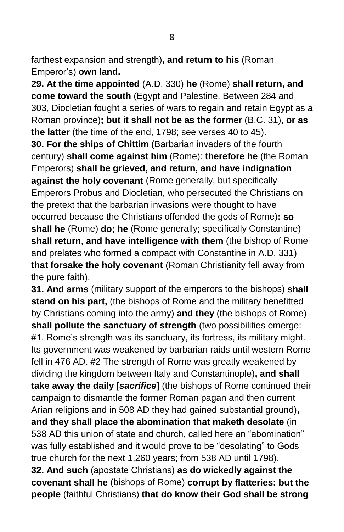farthest expansion and strength)**, and return to his** (Roman Emperor's) **own land.**

**29. At the time appointed** (A.D. 330) **he** (Rome) **shall return, and come toward the south** (Egypt and Palestine. Between 284 and 303, Diocletian fought a series of wars to regain and retain Egypt as a Roman province)**; but it shall not be as the former** (B.C. 31)**, or as the latter** (the time of the end, 1798; see verses 40 to 45). **30. For the ships of Chittim** (Barbarian invaders of the fourth century) **shall come against him** (Rome): **therefore he** (the Roman Emperors) **shall be grieved, and return, and have indignation against the holy covenant** (Rome generally, but specifically Emperors Probus and Diocletian, who persecuted the Christians on the pretext that the barbarian invasions were thought to have occurred because the Christians offended the gods of Rome)**: so shall he** (Rome) **do; he** (Rome generally; specifically Constantine) **shall return, and have intelligence with them** (the bishop of Rome and prelates who formed a compact with Constantine in A.D. 331) **that forsake the holy covenant** (Roman Christianity fell away from the pure faith).

**31. And arms** (military support of the emperors to the bishops) **shall stand on his part,** (the bishops of Rome and the military benefitted by Christians coming into the army) **and they** (the bishops of Rome) **shall pollute the sanctuary of strength** (two possibilities emerge: #1. Rome's strength was its sanctuary, its fortress, its military might. Its government was weakened by barbarian raids until western Rome fell in 476 AD. #2 The strength of Rome was greatly weakened by dividing the kingdom between Italy and Constantinople)**, and shall take away the daily [***sacrifice***]** (the bishops of Rome continued their campaign to dismantle the former Roman pagan and then current Arian religions and in 508 AD they had gained substantial ground)**, and they shall place the abomination that maketh desolate** (in 538 AD this union of state and church, called here an "abomination" was fully established and it would prove to be "desolating" to Gods true church for the next 1,260 years; from 538 AD until 1798). **32. And such** (apostate Christians) **as do wickedly against the covenant shall he** (bishops of Rome) **corrupt by flatteries: but the people** (faithful Christians) **that do know their God shall be strong**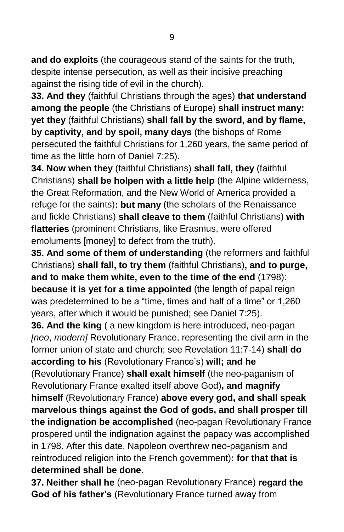**and do exploits** (the courageous stand of the saints for the truth, despite intense persecution, as well as their incisive preaching against the rising tide of evil in the church).

**33. And they** (faithful Christians through the ages) **that understand among the people** (the Christians of Europe) **shall instruct many: yet they** (faithful Christians) **shall fall by the sword, and by flame, by captivity, and by spoil, many days** (the bishops of Rome persecuted the faithful Christians for 1,260 years, the same period of time as the little horn of Daniel 7:25).

**34. Now when they** (faithful Christians) **shall fall, they** (faithful Christians) **shall be holpen with a little help** (the Alpine wilderness, the Great Reformation, and the New World of America provided a refuge for the saints)**: but many** (the scholars of the Renaissance and fickle Christians) **shall cleave to them** (faithful Christians) **with flatteries** (prominent Christians, like Erasmus, were offered emoluments [money] to defect from the truth).

**35. And some of them of understanding** (the reformers and faithful Christians) **shall fall, to try them** (faithful Christians)**, and to purge, and to make them white, even to the time of the end** (1798): **because it is yet for a time appointed** (the length of papal reign was predetermined to be a "time, times and half of a time" or 1,260 years, after which it would be punished; see Daniel 7:25).

**36. And the king** (a new kingdom is here introduced, neo-pagan *[neo*, *modern]* Revolutionary France, representing the civil arm in the former union of state and church; see Revelation 11:7-14) **shall do according to his** (Revolutionary France's) **will; and he**

(Revolutionary France) **shall exalt himself** (the neo-paganism of Revolutionary France exalted itself above God)**, and magnify himself** (Revolutionary France) **above every god, and shall speak marvelous things against the God of gods, and shall prosper till the indignation be accomplished** (neo-pagan Revolutionary France prospered until the indignation against the papacy was accomplished in 1798. After this date, Napoleon overthrew neo-paganism and reintroduced religion into the French government)**: for that that is determined shall be done.**

**37. Neither shall he** (neo-pagan Revolutionary France) **regard the God of his father's** (Revolutionary France turned away from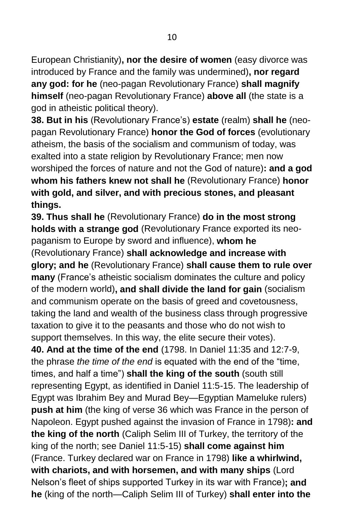European Christianity)**, nor the desire of women** (easy divorce was introduced by France and the family was undermined)**, nor regard any god: for he** (neo-pagan Revolutionary France) **shall magnify himself** (neo-pagan Revolutionary France) **above all** (the state is a god in atheistic political theory).

**38. But in his** (Revolutionary France's) **estate** (realm) **shall he** (neopagan Revolutionary France) **honor the God of forces** (evolutionary atheism, the basis of the socialism and communism of today, was exalted into a state religion by Revolutionary France; men now worshiped the forces of nature and not the God of nature)**: and a god whom his fathers knew not shall he** (Revolutionary France) **honor with gold, and silver, and with precious stones, and pleasant things.**

**39. Thus shall he** (Revolutionary France) **do in the most strong holds with a strange god** (Revolutionary France exported its neopaganism to Europe by sword and influence), **whom he**

(Revolutionary France) **shall acknowledge and increase with glory; and he** (Revolutionary France) **shall cause them to rule over many** (France's atheistic socialism dominates the culture and policy of the modern world)**, and shall divide the land for gain** (socialism and communism operate on the basis of greed and covetousness, taking the land and wealth of the business class through progressive taxation to give it to the peasants and those who do not wish to support themselves. In this way, the elite secure their votes).

**40. And at the time of the end** (1798. In Daniel 11:35 and 12:7-9, the phrase *the time of the end* is equated with the end of the "time, times, and half a time") **shall the king of the south** (south still representing Egypt, as identified in Daniel 11:5-15. The leadership of Egypt was Ibrahim Bey and Murad Bey—Egyptian Mameluke rulers) **push at him** (the king of verse 36 which was France in the person of Napoleon. Egypt pushed against the invasion of France in 1798)**: and the king of the north** (Caliph Selim III of Turkey, the territory of the king of the north; see Daniel 11:5-15) **shall come against him** (France. Turkey declared war on France in 1798) **like a whirlwind, with chariots, and with horsemen, and with many ships** (Lord Nelson's fleet of ships supported Turkey in its war with France)**; and he** (king of the north—Caliph Selim III of Turkey) **shall enter into the**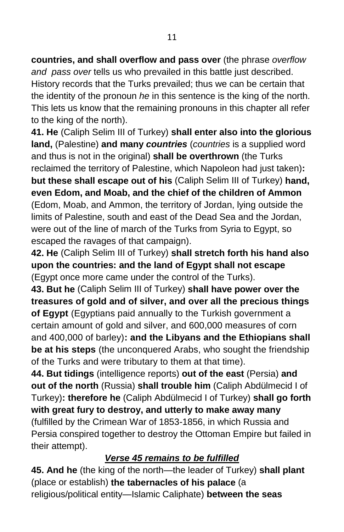**countries, and shall overflow and pass over** (the phrase *overflow and pass over* tells us who prevailed in this battle just described. History records that the Turks prevailed; thus we can be certain that the identity of the pronoun *he* in this sentence is the king of the north. This lets us know that the remaining pronouns in this chapter all refer to the king of the north).

**41. He** (Caliph Selim III of Turkey) **shall enter also into the glorious land,** (Palestine) **and many** *countries* (*countries* is a supplied word and thus is not in the original) **shall be overthrown** (the Turks reclaimed the territory of Palestine, which Napoleon had just taken)**: but these shall escape out of his** (Caliph Selim III of Turkey) **hand, even Edom, and Moab, and the chief of the children of Ammon**  (Edom, Moab, and Ammon, the territory of Jordan, lying outside the limits of Palestine, south and east of the Dead Sea and the Jordan, were out of the line of march of the Turks from Syria to Egypt, so escaped the ravages of that campaign).

**42. He** (Caliph Selim III of Turkey) **shall stretch forth his hand also upon the countries: and the land of Egypt shall not escape** (Egypt once more came under the control of the Turks).

**43. But he** (Caliph Selim III of Turkey) **shall have power over the treasures of gold and of silver, and over all the precious things of Egypt** (Egyptians paid annually to the Turkish government a certain amount of gold and silver, and 600,000 measures of corn and 400,000 of barley)**: and the Libyans and the Ethiopians shall be at his steps** (the unconquered Arabs, who sought the friendship of the Turks and were tributary to them at that time).

**44. But tidings** (intelligence reports) **out of the east** (Persia) **and out of the north** (Russia) **shall trouble him** (Caliph Abdülmecid I of Turkey)**: therefore he** (Caliph Abdülmecid I of Turkey) **shall go forth with great fury to destroy, and utterly to make away many** (fulfilled by the Crimean War of 1853-1856, in which Russia and Persia conspired together to destroy the Ottoman Empire but failed in their attempt).

## *Verse 45 remains to be fulfilled*

**45. And he** (the king of the north—the leader of Turkey) **shall plant** (place or establish) **the tabernacles of his palace** (a religious/political entity—Islamic Caliphate) **between the seas**